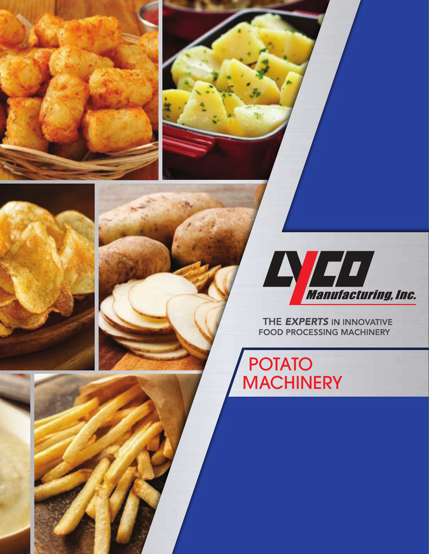



THE EXPERTS IN INNOVATIVE **FOOD PROCESSING MACHINERY** 

POTATO **MACHINERY**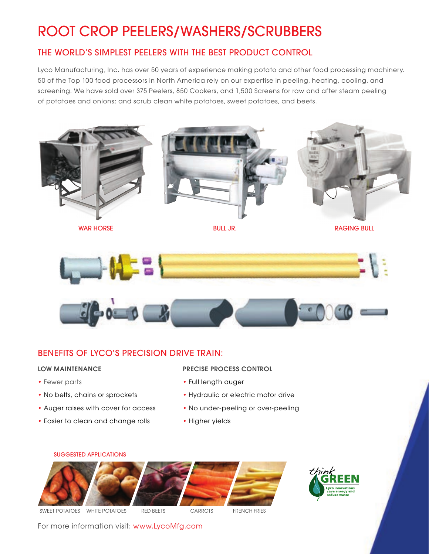## ROOT CROP PEELERS/WASHERS/SCRUBBERS

## THE WORLD'S SIMPLEST PEELERS WITH THE BEST PRODUCT CONTROL

Lyco Manufacturing, Inc. has over 50 years of experience making potato and other food processing machinery. 50 of the Top 100 food processors in North America rely on our expertise in peeling, heating, cooling, and screening. We have sold over 375 Peelers, 850 Cookers, and 1,500 Screens for raw and after steam peeling of potatoes and onions; and scrub clean white potatoes, sweet potatoes, and beets.



WAR HORSE **BULL JR.** BULL JR. RAGING BULL JR.





## BENEFITS OF LYCO'S PRECISION DRIVE TRAIN:

#### LOW MAINTENANCE

- Fewer parts
- No belts, chains or sprockets
- Auger raises with cover for access
- Easier to clean and change rolls

#### PRECISE PROCESS CONTROL

- Full length auger
- Hydraulic or electric motor drive
- No under-peeling or over-peeling
- Higher yields





For more information visit: www.LycoMfg.com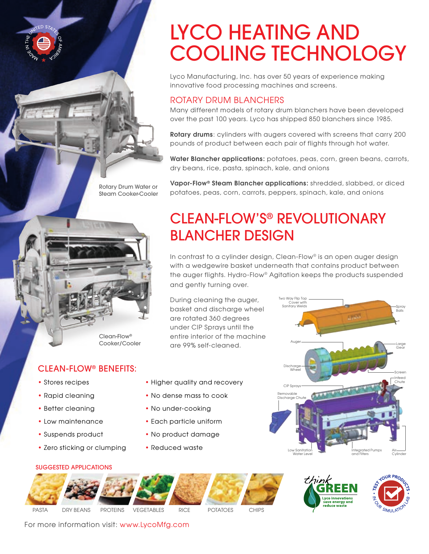# LYCO HEATING AND COOLING TECHNOLOGY

Lyco Manufacturing, Inc. has over 50 years of experience making innovative food processing machines and screens.

### ROTARY DRUM BLANCHERS

Many different models of rotary drum blanchers have been developed over the past 100 years. Lyco has shipped 850 blanchers since 1985.

Rotary drums: cylinders with augers covered with screens that carry 200 pounds of product between each pair of flights through hot water.

Water Blancher applications: potatoes, peas, corn, green beans, carrots, dry beans, rice, pasta, spinach, kale, and onions

Vapor-Flow<sup>®</sup> Steam Blancher applications: shredded, slabbed, or diced potatoes, peas, corn, carrots, peppers, spinach, kale, and onions

## CLEAN-FLOW'S® REVOLUTIONARY BLANCHER DESIGN

In contrast to a cylinder design, Clean-Flow® is an open auger design with a wedgewire basket underneath that contains product between the auger flights. Hydro-Flow® Agitation keeps the products suspended and gently turning over.

Two Way Flip Top

During cleaning the auger, basket and discharge wheel are rotated 360 degrees under CIP Sprays until the entire interior of the machine are 99% self-cleaned.





SUGGESTED APPLICATIONS

• Low maintenance • Suspends product

• Zero sticking or clumping

CLEAN-FLOW® BENEFITS:

• Stores recipes • Rapid cleaning • Better cleaning

- Higher quality and recovery
- No dense mass to cook
- No under-cooking
- Each particle uniform
- No product damage
- Reduced waste



For more information visit: www.LycoMfg.com

Rotary Drum Water or Steam Cooker-Cooler

Clean-Flow® Cooker/Cooler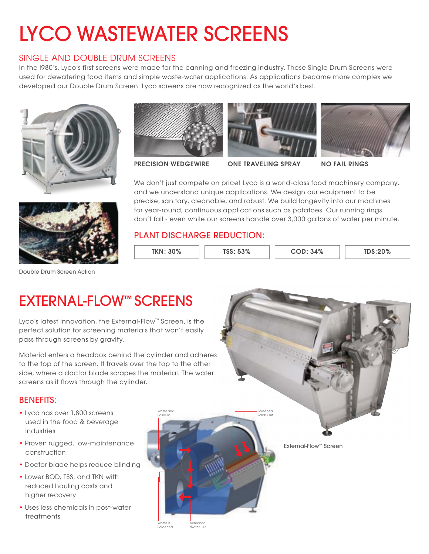# LYCO WASTEWATER SCREENS

## SINGLE AND DOUBLE DRUM SCREENS

In the I980's, Lyco's first screens were made for the canning and freezing industry. These Single Drum Screens were used for dewatering food items and simple waste-water applications. As applications became more complex we developed our Double Drum Screen. Lyco screens are now recognized as the world's best.







PRECISION WEDGEWIRE ONE TRAVELING SPRAY NO FAIL RINGS



We don't just compete on price! Lyco is a world-class food machinery company, and we understand unique applications. We design our equipment to be precise, sanitary, cleanable, and robust. We build longevity into our machines for year-round, continuous applications such as potatoes. Our running rings don't fail - even while our screens handle over 3,000 gallons of water per minute.

## PLANT DISCHARGE REDUCTION:

| <b>TKN: 30%</b> | $ -$ 0.0/<br>೨೨% | 34% | $T\Gamma$ $C \cdot 209$<br>3.20% |
|-----------------|------------------|-----|----------------------------------|
|                 |                  |     |                                  |



Double Drum Screen Action

## EXTERNAL-FLOW™ SCREENS

Lyco's latest innovation, the External-Flow™ Screen, is the perfect solution for screening materials that won't easily pass through screens by gravity.

Material enters a headbox behind the cylinder and adheres to the top of the screen. It travels over the top to the other side, where a doctor blade scrapes the material. The water screens as it flows through the cylinder.

### BENEFITS:

- Lyco has over 1,800 screens used in the food & beverage industries
- Proven rugged, low-maintenance construction
- Doctor blade helps reduce blinding
- Lower BOD, TSS, and TKN with reduced hauling costs and higher recovery
- Uses less chemicals in post-water treatments



External-Flow™ Screen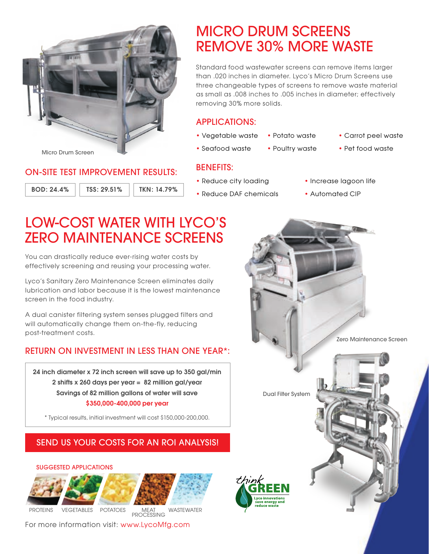

#### Micro Drum Screen

### ON-SITE TEST IMPROVEMENT RESULTS:

BOD: 24.4% TSS: 29.51% TKN: 14.79%

## MICRO DRUM SCREENS REMOVE 30% MORE WASTE

Standard food wastewater screens can remove items larger than .020 inches in diameter. Lyco's Micro Drum Screens use three changeable types of screens to remove waste material as small as .008 inches to .005 inches in diameter; effectively removing 30% more solids.

## APPLICATIONS:

- Vegetable waste
- Seafood waste
- Potato waste
- Poultry waste
- Carrot peel waste
- Pet food waste

### BENEFITS:

- Reduce city loading
- Reduce DAF chemicals
- Increase lagoon life
- Automated CIP

## LOW-COST WATER WITH LYCO'S ZERO MAINTENANCE SCREENS

You can drastically reduce ever-rising water costs by effectively screening and reusing your processing water.

Lyco's Sanitary Zero Maintenance Screen eliminates daily lubrication and labor because it is the lowest maintenance screen in the food industry.

A dual canister filtering system senses plugged filters and will automatically change them on-the-fly, reducing post-treatment costs.

## RETURN ON INVESTMENT IN LESS THAN ONE YEAR\*:

24 inch diameter x 72 inch screen will save up to 350 gal/min 2 shifts x 260 days per year = 82 million gal/year Savings of 82 million gallons of water will save \$350,000-400,000 per year

\* Typical results, initial investment will cost \$150,000-200,000.

## SEND US YOUR COSTS FOR AN ROI ANALYSIS!

#### SUGGESTED APPLICATIONS



For more information visit: www.LycoMfg.com